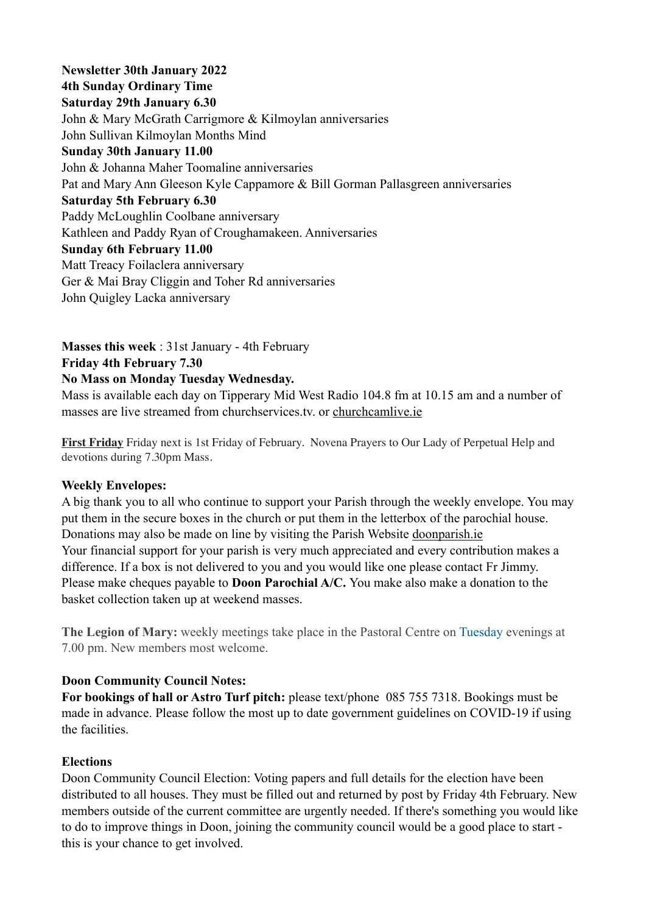**Newsletter 30th January 2022 4th Sunday Ordinary Time Saturday 29th January 6.30** John & Mary McGrath Carrigmore & Kilmoylan anniversaries John Sullivan Kilmoylan Months Mind **Sunday 30th January 11.00** John & Johanna Maher Toomaline anniversaries Pat and Mary Ann Gleeson Kyle Cappamore & Bill Gorman Pallasgreen anniversaries **Saturday 5th February 6.30** Paddy McLoughlin Coolbane anniversary Kathleen and Paddy Ryan of Croughamakeen. Anniversaries **Sunday 6th February 11.00** Matt Treacy Foilaclera anniversary Ger & Mai Bray Cliggin and Toher Rd anniversaries John Quigley Lacka anniversary

**Masses this week** : 31st January - 4th February **Friday 4th February 7.30 No Mass on Monday Tuesday Wednesday.** Mass is available each day on Tipperary Mid West Radio 104.8 fm at 10.15 am and a number of masses are live streamed from churchservices.tv. or [churchcamlive.ie](http://churchcamlive.ie)

**First Friday** Friday next is 1st Friday of February. Novena Prayers to Our Lady of Perpetual Help and devotions during 7.30pm Mass.

## **Weekly Envelopes:**

A big thank you to all who continue to support your Parish through the weekly envelope. You may put them in the secure boxes in the church or put them in the letterbox of the parochial house. Donations may also be made on line by visiting the Parish Website [doonparish.ie](http://doonparish.ie) Your financial support for your parish is very much appreciated and every contribution makes a difference. If a box is not delivered to you and you would like one please contact Fr Jimmy. Please make cheques payable to **Doon Parochial A/C.** You make also make a donation to the basket collection taken up at weekend masses.

**The Legion of Mary:** weekly meetings take place in the Pastoral Centre on Tuesday evenings at 7.00 pm. New members most welcome.

### **Doon Community Council Notes:**

**For bookings of hall or Astro Turf pitch:** please text/phone 085 755 7318. Bookings must be made in advance. Please follow the most up to date government guidelines on COVID-19 if using the facilities.

### **Elections**

Doon Community Council Election: Voting papers and full details for the election have been distributed to all houses. They must be filled out and returned by post by Friday 4th February. New members outside of the current committee are urgently needed. If there's something you would like to do to improve things in Doon, joining the community council would be a good place to start this is your chance to get involved.